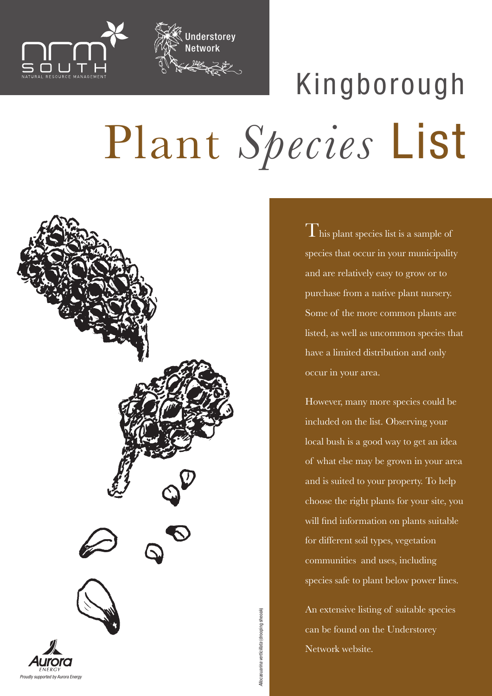

## Plant *Species* List Kingborough

nderstorey

Network



 $\Gamma$  his plant species list is a sample of species that occur in your municipality and are relatively easy to grow or to purchase from a native plant nursery. Some of the more common plants are listed, as well as uncommon species that have a limited distribution and only occur in your area.

However, many more species could be included on the list. Observing your local bush is a good way to get an idea of what else may be grown in your area and is suited to your property. To help choose the right plants for your site, you will find information on plants suitable for different soil types, vegetation communities and uses, including species safe to plant below power lines.

An extensive listing of suitable species can be found on the Understorey Network website.

*Allocasuarina verticillata* (drooping sheoak)

Allocasuarina verticillata (drooping sheoak)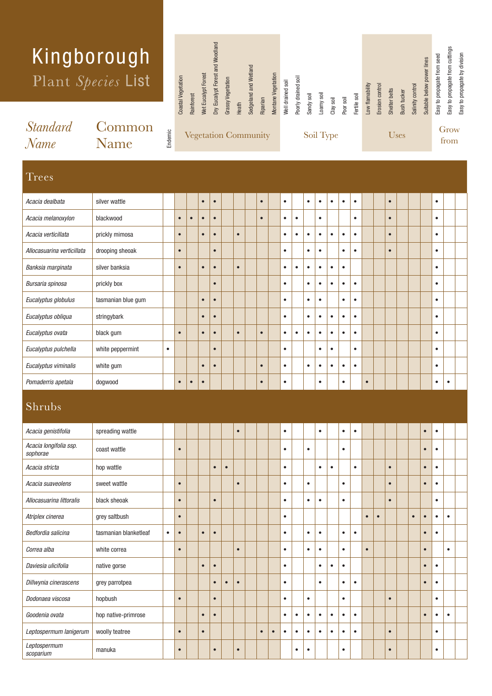|                         | Kingborough<br>Plant Species List |         | Coastal Vegetation | Rainforest | <b>Net Eucalypt Forest</b> | Dry Eucalypt Forest and Woodland | Grassy Vegetation |       | Sedgeland and Wetland       |           | Montane Vegetation | Well drained soil | Poorly drained soil | Sandy soil | soil |                        |           | Fertile soil | Low flamability | Erosion control | Shelter belts | Bush tucker | Salinity control | Suitable below power lines | Easy to propagate from seed | Easy to propagate from cuttings | Easy to propagate by division |
|-------------------------|-----------------------------------|---------|--------------------|------------|----------------------------|----------------------------------|-------------------|-------|-----------------------------|-----------|--------------------|-------------------|---------------------|------------|------|------------------------|-----------|--------------|-----------------|-----------------|---------------|-------------|------------------|----------------------------|-----------------------------|---------------------------------|-------------------------------|
| <i>Standard</i><br>Name | Common<br><b>Name</b>             | Endemic |                    |            |                            |                                  |                   | Heath | <b>Vegetation Community</b> | Riparian  |                    |                   |                     |            |      | Clay soil<br>Soil Type | Poor soil |              |                 |                 |               | Uses        |                  |                            |                             | Grow<br>from                    |                               |
| <b>Trees</b>            |                                   |         |                    |            |                            |                                  |                   |       |                             |           |                    |                   |                     |            |      |                        |           |              |                 |                 |               |             |                  |                            |                             |                                 |                               |
| Acacia dealbata         | silver wattle                     |         |                    |            | $\bullet$                  | $\bullet$                        |                   |       |                             | $\bullet$ |                    | $\bullet$         |                     | ٠          |      |                        |           |              |                 |                 | $\bullet$     |             |                  |                            | $\bullet$                   |                                 |                               |

| Acacia dealbata            | silver wattle      |           |           |           | $\bullet$ | $\bullet$ |           | $\bullet$ | $\bullet$ |           | $\bullet$ | $\bullet$ | $\bullet$ | $\bullet$ | $\bullet$ |           | $\bullet$ |  | $\bullet$ |           |
|----------------------------|--------------------|-----------|-----------|-----------|-----------|-----------|-----------|-----------|-----------|-----------|-----------|-----------|-----------|-----------|-----------|-----------|-----------|--|-----------|-----------|
| Acacia melanoxylon         | blackwood          |           | $\bullet$ | $\bullet$ | $\bullet$ | $\bullet$ |           | $\bullet$ | $\bullet$ | $\bullet$ |           | $\bullet$ |           |           | ٠         |           | $\bullet$ |  | $\bullet$ |           |
| Acacia verticillata        | prickly mimosa     |           | $\bullet$ |           | $\bullet$ | $\bullet$ | $\bullet$ |           | $\bullet$ |           | $\bullet$ | ٠         | $\bullet$ | $\bullet$ | $\bullet$ |           | $\bullet$ |  | $\bullet$ |           |
| Allocasuarina verticillata | drooping sheoak    |           | $\bullet$ |           |           | $\bullet$ |           |           | $\bullet$ |           | $\bullet$ | $\bullet$ |           | $\bullet$ | ٠         |           | $\bullet$ |  | $\bullet$ |           |
| Banksia marginata          | silver banksia     |           | $\bullet$ |           | $\bullet$ | $\bullet$ | $\bullet$ |           | $\bullet$ | $\bullet$ | $\bullet$ | $\bullet$ | $\bullet$ | $\bullet$ |           |           |           |  | $\bullet$ |           |
| Bursaria spinosa           | prickly box        |           |           |           |           | $\bullet$ |           |           | $\bullet$ |           | $\bullet$ | $\bullet$ | $\bullet$ | $\bullet$ | $\bullet$ |           |           |  | $\bullet$ |           |
| Eucalyptus globulus        | tasmanian blue gum |           |           |           | $\bullet$ | $\bullet$ |           |           | $\bullet$ |           | $\bullet$ | $\bullet$ |           | $\bullet$ | $\bullet$ |           |           |  | $\bullet$ |           |
| Eucalyptus obliqua         | stringybark        |           |           |           | $\bullet$ | $\bullet$ |           |           | $\bullet$ |           | $\bullet$ | $\bullet$ | $\bullet$ | $\bullet$ | $\bullet$ |           |           |  | $\bullet$ |           |
| Eucalyptus ovata           | black gum          |           | $\bullet$ |           | $\bullet$ | $\bullet$ | $\bullet$ | $\bullet$ | $\bullet$ | $\bullet$ | $\bullet$ | $\bullet$ | $\bullet$ | $\bullet$ | ٠         |           |           |  | $\bullet$ |           |
| Eucalyptus pulchella       | white peppermint   | $\bullet$ |           |           |           | $\bullet$ |           |           | $\bullet$ |           |           | $\bullet$ | $\bullet$ |           | $\bullet$ |           |           |  | $\bullet$ |           |
| Eucalyptus viminalis       | white gum          |           |           |           | $\bullet$ | $\bullet$ |           | $\bullet$ | $\bullet$ |           | $\bullet$ | ٠         | $\bullet$ | $\bullet$ | $\bullet$ |           |           |  | $\bullet$ |           |
| Pomaderris apetala         | dogwood            |           | $\bullet$ | $\bullet$ | $\bullet$ |           |           | $\bullet$ | $\bullet$ |           |           | $\bullet$ |           | $\bullet$ |           | $\bullet$ |           |  | ٠         | $\bullet$ |
| Shrubs                     |                    |           |           |           |           |           |           |           |           |           |           |           |           |           |           |           |           |  |           |           |

| Acacia genistifolia                | spreading wattle      |           |           |           |           |           | $\bullet$ |           |   | $\bullet$ |           |           | $\bullet$ |           | $\bullet$ | $\bullet$ |           |           |           |           | $\bullet$ | $\bullet$ |   |  |
|------------------------------------|-----------------------|-----------|-----------|-----------|-----------|-----------|-----------|-----------|---|-----------|-----------|-----------|-----------|-----------|-----------|-----------|-----------|-----------|-----------|-----------|-----------|-----------|---|--|
| Acacia longifolia ssp.<br>sophorae | coast wattle          |           | $\bullet$ |           |           |           |           |           |   | $\bullet$ |           | $\bullet$ |           |           | $\bullet$ |           |           |           |           |           | $\bullet$ | $\bullet$ |   |  |
| Acacia stricta                     | hop wattle            |           |           |           | $\bullet$ | $\bullet$ |           |           |   | $\bullet$ |           |           | $\bullet$ | $\bullet$ |           | ٠         |           |           | $\bullet$ |           | $\bullet$ | $\bullet$ |   |  |
| Acacia suaveolens                  | sweet wattle          |           | $\bullet$ |           |           |           | $\bullet$ |           |   | $\bullet$ |           | $\bullet$ |           |           | $\bullet$ |           |           |           | $\bullet$ |           | $\bullet$ | $\bullet$ |   |  |
| Allocasuarina littoralis           | black sheoak          |           | $\bullet$ |           | $\bullet$ |           |           |           |   | $\bullet$ |           | $\bullet$ | $\bullet$ |           | $\bullet$ |           |           |           | $\bullet$ |           |           | $\bullet$ |   |  |
| Atriplex cinerea                   | grey saltbush         |           | $\bullet$ |           |           |           |           |           |   | $\bullet$ |           |           |           |           |           |           | $\bullet$ | $\bullet$ |           | $\bullet$ | $\bullet$ | ٠         | ٠ |  |
| Bedfordia salicina                 | tasmanian blanketleaf | $\bullet$ | $\bullet$ | $\bullet$ | $\bullet$ |           |           |           |   | $\bullet$ |           | $\bullet$ | $\bullet$ |           | $\bullet$ | $\bullet$ |           |           |           |           | $\bullet$ | ٠         |   |  |
| Correa alba                        | white correa          |           | $\bullet$ |           |           |           | $\bullet$ |           |   | $\bullet$ |           | $\bullet$ | $\bullet$ |           | $\bullet$ |           | $\bullet$ |           |           |           | $\bullet$ |           | ٠ |  |
| Daviesia ulicifolia                | native gorse          |           |           | $\bullet$ | $\bullet$ |           |           |           |   | $\bullet$ |           |           | $\bullet$ | $\bullet$ | $\bullet$ |           |           |           |           |           | $\bullet$ | ٠         |   |  |
| Dillwynia cinerascens              | grey parrotpea        |           |           |           | $\bullet$ | $\bullet$ | $\bullet$ |           |   | $\bullet$ |           |           | $\bullet$ |           | $\bullet$ | $\bullet$ |           |           |           |           | $\bullet$ | ٠         |   |  |
| Dodonaea viscosa                   | hopbush               |           | $\bullet$ |           | $\bullet$ |           |           |           |   | $\bullet$ |           | $\bullet$ |           |           | $\bullet$ |           |           |           | $\bullet$ |           |           | ٠         |   |  |
| Goodenia ovata                     | hop native-primrose   |           |           | $\bullet$ | $\bullet$ |           |           |           |   | $\bullet$ | ٠         | $\bullet$ | ٠         | $\bullet$ | $\bullet$ | $\bullet$ |           |           |           |           | $\bullet$ |           | ٠ |  |
| Leptospermum lanigerum             | woolly teatree        |           | $\bullet$ | $\bullet$ |           |           |           | $\bullet$ | г | $\bullet$ | ٠         | $\bullet$ | $\bullet$ | $\bullet$ | $\bullet$ | $\bullet$ |           |           | $\bullet$ |           |           | $\bullet$ |   |  |
| Leptospermum<br>scoparium          | manuka                |           | $\bullet$ |           | $\bullet$ |           | $\bullet$ |           |   |           | $\bullet$ | $\bullet$ |           |           | $\bullet$ |           |           |           | $\bullet$ |           |           | $\bullet$ |   |  |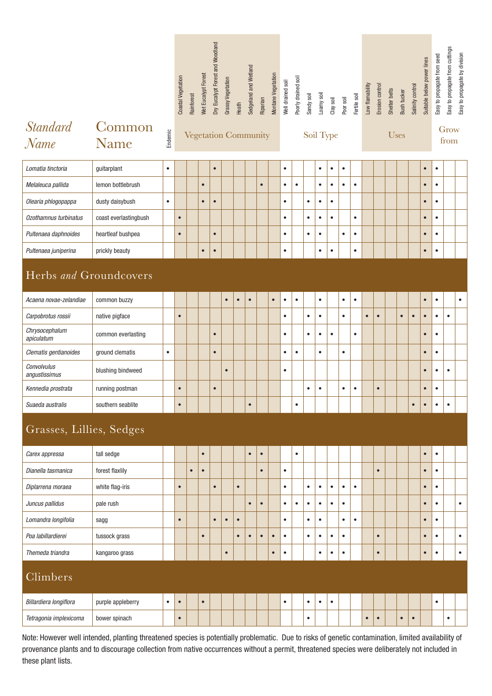|                              |                       |           | <b>Coastal Vegetation</b>   | Rainforest | Wet Eucalypt Forest | Dry Eucalypt Forest and Woodland | Grassy Vegetation | Heath     | Sedgeland and Wetland | Riparian  | Montane Vegetation | Well drained soil | Poorly drained soil | Sandy soil | Loamy soil | Clay soil | Poor soil | Fertile soil | Low flamability | Erosion control | Shelter belts | Bush tucker | Salinity control | Suitable below power lines | Easy to propagate from seed | Easy to propagate from cuttings | Easy to propagate by division |
|------------------------------|-----------------------|-----------|-----------------------------|------------|---------------------|----------------------------------|-------------------|-----------|-----------------------|-----------|--------------------|-------------------|---------------------|------------|------------|-----------|-----------|--------------|-----------------|-----------------|---------------|-------------|------------------|----------------------------|-----------------------------|---------------------------------|-------------------------------|
| <i>Standard</i><br>Name      | Common<br>Name        | Endemic   | <b>Vegetation Community</b> |            |                     |                                  |                   |           |                       |           |                    |                   |                     |            | Soil Type  |           |           |              |                 |                 | <b>Uses</b>   |             | Grow<br>from     |                            |                             |                                 |                               |
| Lomatia tinctoria            | guitarplant           | $\bullet$ |                             |            |                     | $\bullet$                        |                   |           |                       |           |                    | $\bullet$         |                     |            | $\bullet$  | $\bullet$ | $\bullet$ |              |                 |                 |               |             |                  | $\bullet$                  | $\bullet$                   |                                 |                               |
| Melaleuca pallida            | lemon bottlebrush     |           |                             |            | $\bullet$           |                                  |                   |           |                       | $\bullet$ |                    | $\bullet$         | $\bullet$           |            | $\bullet$  | $\bullet$ | $\bullet$ | $\bullet$    |                 |                 |               |             |                  | $\bullet$                  | $\bullet$                   |                                 |                               |
| Olearia phlogopappa          | dusty daisybush       | $\bullet$ |                             |            | $\bullet$           | $\bullet$                        |                   |           |                       |           |                    | $\bullet$         |                     | $\bullet$  | $\bullet$  | $\bullet$ |           |              |                 |                 |               |             |                  | $\bullet$                  | $\bullet$                   |                                 |                               |
| Ozothamnus turbinatus        | coast everlastingbush |           | $\bullet$                   |            |                     |                                  |                   |           |                       |           |                    | $\bullet$         |                     | $\bullet$  | $\bullet$  | $\bullet$ |           | $\bullet$    |                 |                 |               |             |                  | $\bullet$                  | $\bullet$                   |                                 |                               |
| Pultenaea daphnoides         | heartleaf bushpea     |           | $\bullet$                   |            |                     | $\bullet$                        |                   |           |                       |           |                    | $\bullet$         |                     | $\bullet$  | $\bullet$  |           | $\bullet$ | $\bullet$    |                 |                 |               |             |                  | $\bullet$                  | $\bullet$                   |                                 |                               |
| Pultenaea juniperina         | prickly beauty        |           |                             |            | $\bullet$           | $\bullet$                        |                   |           |                       |           |                    | $\bullet$         |                     |            | $\bullet$  | $\bullet$ |           | $\bullet$    |                 |                 |               |             |                  | $\bullet$                  | $\bullet$                   |                                 |                               |
| Herbs and Groundcovers       |                       |           |                             |            |                     |                                  |                   |           |                       |           |                    |                   |                     |            |            |           |           |              |                 |                 |               |             |                  |                            |                             |                                 |                               |
| Acaena novae-zelandiae       | common buzzy          |           |                             |            |                     |                                  | $\bullet$         | $\bullet$ | $\bullet$             |           | $\bullet$          | $\bullet$         | $\bullet$           |            | $\bullet$  |           | $\bullet$ | $\bullet$    |                 |                 |               |             |                  | $\bullet$                  | $\bullet$                   |                                 | $\bullet$                     |
| Carpobrotus rossii           | native pigface        |           | $\bullet$                   |            |                     |                                  |                   |           |                       |           |                    | $\bullet$         |                     | $\bullet$  | $\bullet$  |           | $\bullet$ |              | $\bullet$       | $\bullet$       |               | $\bullet$   | $\bullet$        | $\bullet$                  | $\bullet$                   | $\bullet$                       |                               |
| Chrysocephalum<br>apiculatum | common everlasting    |           |                             |            |                     | $\bullet$                        |                   |           |                       |           |                    | $\bullet$         |                     | $\bullet$  | $\bullet$  | $\bullet$ |           | $\bullet$    |                 |                 |               |             |                  | $\bullet$                  | $\bullet$                   |                                 |                               |
| Clematis gentianoides        | ground clematis       | $\bullet$ |                             |            |                     | $\bullet$                        |                   |           |                       |           |                    | $\bullet$         | $\bullet$           |            | $\bullet$  |           | $\bullet$ |              |                 |                 |               |             |                  | $\bullet$                  | $\bullet$                   |                                 |                               |
| Convolvulus<br>angustissimus | blushing bindweed     |           |                             |            |                     |                                  | $\bullet$         |           |                       |           |                    | $\bullet$         |                     |            |            |           |           |              |                 |                 |               |             |                  | $\bullet$                  | $\bullet$                   | $\bullet$                       |                               |
| Kennedia prostrata           | running postman       |           | $\bullet$                   |            |                     | $\bullet$                        |                   |           |                       |           |                    |                   |                     | $\bullet$  | $\bullet$  |           | $\bullet$ | $\bullet$    |                 | $\bullet$       |               |             |                  | $\bullet$                  | $\bullet$                   |                                 |                               |
| Suaeda australis             | southern seablite     |           | $\bullet$                   |            |                     |                                  |                   |           | $\bullet$             |           |                    |                   | $\bullet$           |            |            |           |           |              |                 |                 |               |             | $\bullet$        | $\bullet$                  | $\bullet$                   | $\bullet$                       |                               |
| Grasses, Lillies, Sedges     |                       |           |                             |            |                     |                                  |                   |           |                       |           |                    |                   |                     |            |            |           |           |              |                 |                 |               |             |                  |                            |                             |                                 |                               |
| Carex appressa               | tall sedge            |           |                             |            | $\bullet$           |                                  |                   |           | $\bullet$             | $\bullet$ |                    |                   | $\bullet$           |            |            |           |           |              |                 |                 |               |             |                  | $\bullet$                  | $\bullet$                   |                                 |                               |
| Dianella tasmanica           | forest flaxlily       |           |                             | $\bullet$  | $\bullet$           |                                  |                   |           |                       | $\bullet$ |                    | $\bullet$         |                     |            |            |           |           |              |                 | $\bullet$       |               |             |                  | $\bullet$                  | $\bullet$                   |                                 |                               |
| Diplarrena moraea            | white flag-iris       |           | $\bullet$                   |            |                     | $\bullet$                        |                   | $\bullet$ |                       |           |                    | $\bullet$         |                     | $\bullet$  | $\bullet$  | $\bullet$ | $\bullet$ | $\bullet$    |                 |                 |               |             |                  | $\bullet$                  | $\bullet$                   |                                 |                               |
| Juncus pallidus              | pale rush             |           |                             |            |                     |                                  |                   |           | $\bullet$             | $\bullet$ |                    | $\bullet$         | $\bullet$           | $\bullet$  | $\bullet$  | $\bullet$ | $\bullet$ |              |                 |                 |               |             |                  | $\bullet$                  | $\bullet$                   |                                 | $\bullet$                     |
| Lomandra longifolia          | sagg                  |           | $\bullet$                   |            |                     | $\bullet$                        | $\bullet$         | $\bullet$ |                       |           |                    | $\bullet$         |                     | $\bullet$  | $\bullet$  |           | $\bullet$ | $\bullet$    |                 |                 |               |             |                  | $\bullet$                  | $\bullet$                   |                                 |                               |
| Poa labillardierei           | tussock grass         |           |                             |            | $\bullet$           |                                  |                   | $\bullet$ | $\bullet$             | $\bullet$ | $\bullet$          | $\bullet$         |                     | $\bullet$  | $\bullet$  | $\bullet$ | $\bullet$ |              |                 | $\bullet$       |               |             |                  | $\bullet$                  | $\bullet$                   |                                 | $\bullet$                     |
| Themeda triandra             | kangaroo grass        |           |                             |            |                     |                                  | $\bullet$         |           |                       |           | $\bullet$          | $\bullet$         |                     |            | $\bullet$  | $\bullet$ | $\bullet$ |              |                 | $\bullet$       |               |             |                  | $\bullet$                  | $\bullet$                   |                                 | $\bullet$                     |
| Climbers                     |                       |           |                             |            |                     |                                  |                   |           |                       |           |                    |                   |                     |            |            |           |           |              |                 |                 |               |             |                  |                            |                             |                                 |                               |
| Billardiera longiflora       | purple appleberry     | $\bullet$ | $\bullet$                   |            | $\bullet$           |                                  |                   |           |                       |           |                    | $\bullet$         |                     | $\bullet$  | $\bullet$  | $\bullet$ |           |              |                 |                 |               |             |                  |                            | $\bullet$                   |                                 |                               |
| Tetragonia implexicoma       | bower spinach         |           | $\bullet$                   |            |                     |                                  |                   |           |                       |           |                    |                   |                     | $\bullet$  |            |           |           |              | $\bullet$       | $\bullet$       |               | $\bullet$   | $\bullet$        |                            |                             | $\bullet$                       |                               |
|                              |                       |           |                             |            |                     |                                  |                   |           |                       |           |                    |                   |                     |            |            |           |           |              |                 |                 |               |             |                  |                            |                             |                                 |                               |

Note: However well intended, planting threatened species is potentially problematic. Due to risks of genetic contamination, limited availability of provenance plants and to discourage collection from native occurrences without a permit, threatened species were deliberately not included in these plant lists.